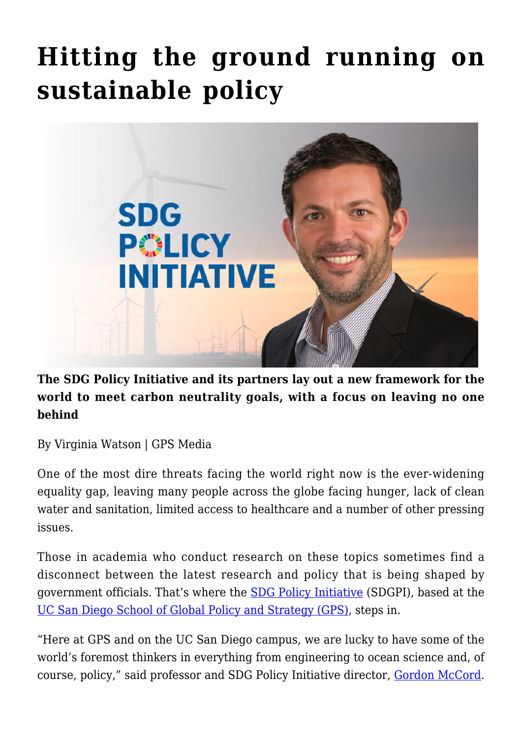## **[Hitting the ground running on](https://gpsnews.ucsd.edu/hitting-the-ground-running-on-sustainable-policy/) [sustainable policy](https://gpsnews.ucsd.edu/hitting-the-ground-running-on-sustainable-policy/)**



**The SDG Policy Initiative and its partners lay out a new framework for the world to meet carbon neutrality goals, with a focus on leaving no one behind**

By Virginia Watson | GPS Media

One of the most dire threats facing the world right now is the ever-widening equality gap, leaving many people across the globe facing hunger, lack of clean water and sanitation, limited access to healthcare and a number of other pressing issues.

Those in academia who conduct research on these topics sometimes find a disconnect between the latest research and policy that is being shaped by government officials. That's where the [SDG Policy Initiative](http://sdgpolicyinitiative.org/) (SDGPI), based at the [UC San Diego School of Global Policy and Strategy \(GPS\),](https://gps.ucsd.edu/) steps in.

"Here at GPS and on the UC San Diego campus, we are lucky to have some of the world's foremost thinkers in everything from engineering to ocean science and, of course, policy," said professor and SDG Policy Initiative director, [Gordon McCord.](https://gps.ucsd.edu/faculty-directory/gordon-mccord.html)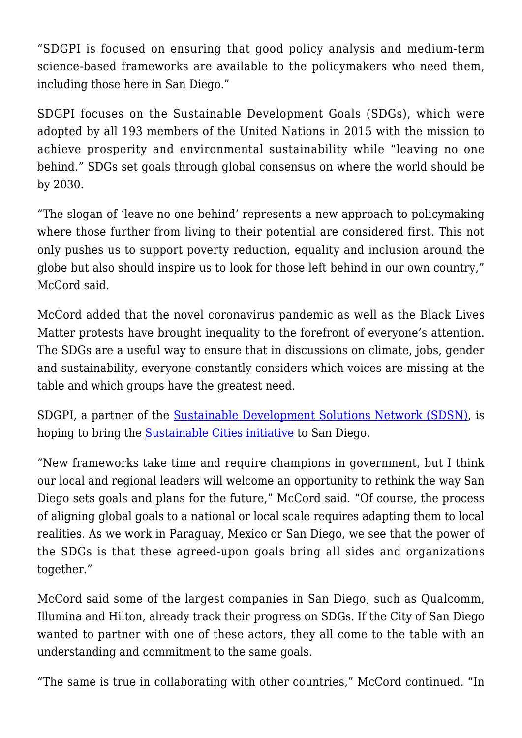"SDGPI is focused on ensuring that good policy analysis and medium-term science-based frameworks are available to the policymakers who need them, including those here in San Diego."

SDGPI focuses on the Sustainable Development Goals (SDGs), which were adopted by all 193 members of the United Nations in 2015 with the mission to achieve prosperity and environmental sustainability while "leaving no one behind." SDGs set goals through global consensus on where the world should be by 2030.

"The slogan of 'leave no one behind' represents a new approach to policymaking where those further from living to their potential are considered first. This not only pushes us to support poverty reduction, equality and inclusion around the globe but also should inspire us to look for those left behind in our own country," McCord said.

McCord added that the novel coronavirus pandemic as well as the Black Lives Matter protests have brought inequality to the forefront of everyone's attention. The SDGs are a useful way to ensure that in discussions on climate, jobs, gender and sustainability, everyone constantly considers which voices are missing at the table and which groups have the greatest need.

SDGPI, a partner of the [Sustainable Development Solutions Network \(SDSN\),](https://www.unsdsn.org/) is hoping to bring the [Sustainable Cities initiative](https://www.unsdsn.org/cities) to San Diego.

"New frameworks take time and require champions in government, but I think our local and regional leaders will welcome an opportunity to rethink the way San Diego sets goals and plans for the future," McCord said. "Of course, the process of aligning global goals to a national or local scale requires adapting them to local realities. As we work in Paraguay, Mexico or San Diego, we see that the power of the SDGs is that these agreed-upon goals bring all sides and organizations together."

McCord said some of the largest companies in San Diego, such as Qualcomm, Illumina and Hilton, already track their progress on SDGs. If the City of San Diego wanted to partner with one of these actors, they all come to the table with an understanding and commitment to the same goals.

"The same is true in collaborating with other countries," McCord continued. "In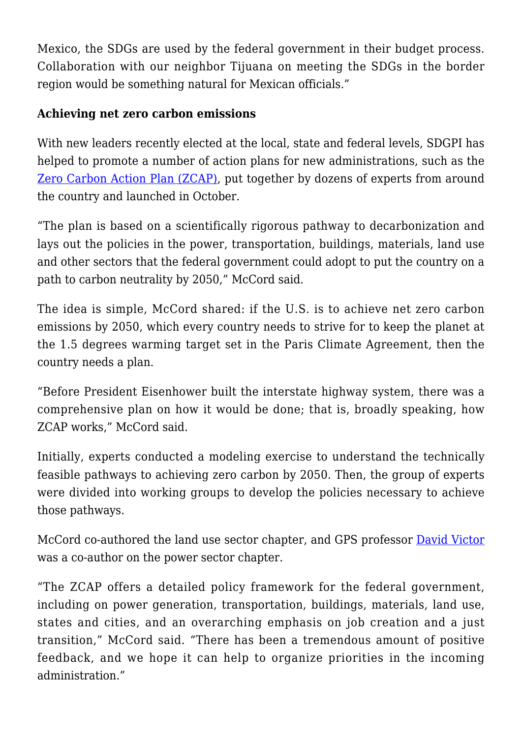Mexico, the SDGs are used by the federal government in their budget process. Collaboration with our neighbor Tijuana on meeting the SDGs in the border region would be something natural for Mexican officials."

## **Achieving net zero carbon emissions**

With new leaders recently elected at the local, state and federal levels, SDGPI has helped to promote a number of action plans for new administrations, such as the [Zero Carbon Action Plan \(ZCAP\),](https://www.unsdsn.org/Zero-Carbon-Action-Plan) put together by dozens of experts from around the country and launched in October.

"The plan is based on a scientifically rigorous pathway to decarbonization and lays out the policies in the power, transportation, buildings, materials, land use and other sectors that the federal government could adopt to put the country on a path to carbon neutrality by 2050," McCord said.

The idea is simple, McCord shared: if the U.S. is to achieve net zero carbon emissions by 2050, which every country needs to strive for to keep the planet at the 1.5 degrees warming target set in the Paris Climate Agreement, then the country needs a plan.

"Before President Eisenhower built the interstate highway system, there was a comprehensive plan on how it would be done; that is, broadly speaking, how ZCAP works," McCord said.

Initially, experts conducted a modeling exercise to understand the technically feasible pathways to achieving zero carbon by 2050. Then, the group of experts were divided into working groups to develop the policies necessary to achieve those pathways.

McCord co-authored the land use sector chapter, and GPS professor **[David Victor](https://gps.ucsd.edu/faculty-directory/david-victor.html)** was a co-author on the power sector chapter.

"The ZCAP offers a detailed policy framework for the federal government, including on power generation, transportation, buildings, materials, land use, states and cities, and an overarching emphasis on job creation and a just transition," McCord said. "There has been a tremendous amount of positive feedback, and we hope it can help to organize priorities in the incoming administration."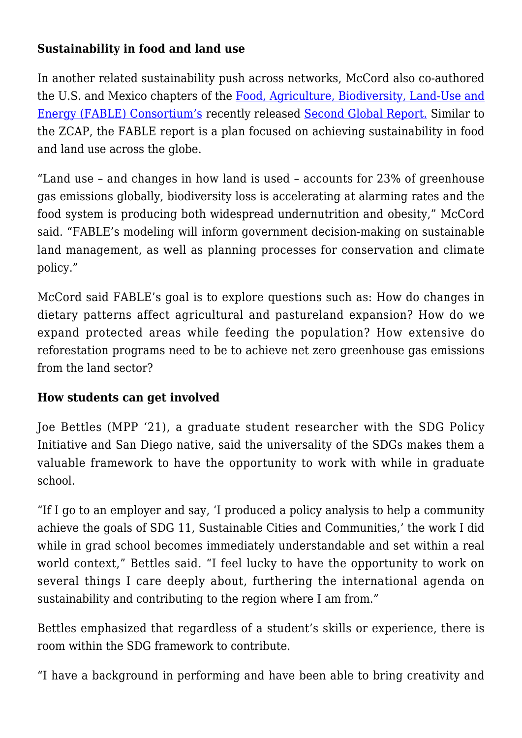## **Sustainability in food and land use**

In another related sustainability push across networks, McCord also co-authored the U.S. and Mexico chapters of the [Food, Agriculture, Biodiversity, Land-Use and](https://www.unsdsn.org/fable) [Energy \(FABLE\) Consortium's](https://www.unsdsn.org/fable) recently released [Second Global Report.](https://resources.unsdsn.org/pathways-to-sustainable-land-use-food-systems) Similar to the ZCAP, the FABLE report is a plan focused on achieving sustainability in food and land use across the globe.

"Land use – and changes in how land is used – accounts for 23% of greenhouse gas emissions globally, biodiversity loss is accelerating at alarming rates and the food system is producing both widespread undernutrition and obesity," McCord said. "FABLE's modeling will inform government decision-making on sustainable land management, as well as planning processes for conservation and climate policy."

McCord said FABLE's goal is to explore questions such as: How do changes in dietary patterns affect agricultural and pastureland expansion? How do we expand protected areas while feeding the population? How extensive do reforestation programs need to be to achieve net zero greenhouse gas emissions from the land sector?

## **How students can get involved**

Joe Bettles (MPP '21), a graduate student researcher with the SDG Policy Initiative and San Diego native, said the universality of the SDGs makes them a valuable framework to have the opportunity to work with while in graduate school.

"If I go to an employer and say, 'I produced a policy analysis to help a community achieve the goals of SDG 11, Sustainable Cities and Communities,' the work I did while in grad school becomes immediately understandable and set within a real world context," Bettles said. "I feel lucky to have the opportunity to work on several things I care deeply about, furthering the international agenda on sustainability and contributing to the region where I am from."

Bettles emphasized that regardless of a student's skills or experience, there is room within the SDG framework to contribute.

"I have a background in performing and have been able to bring creativity and